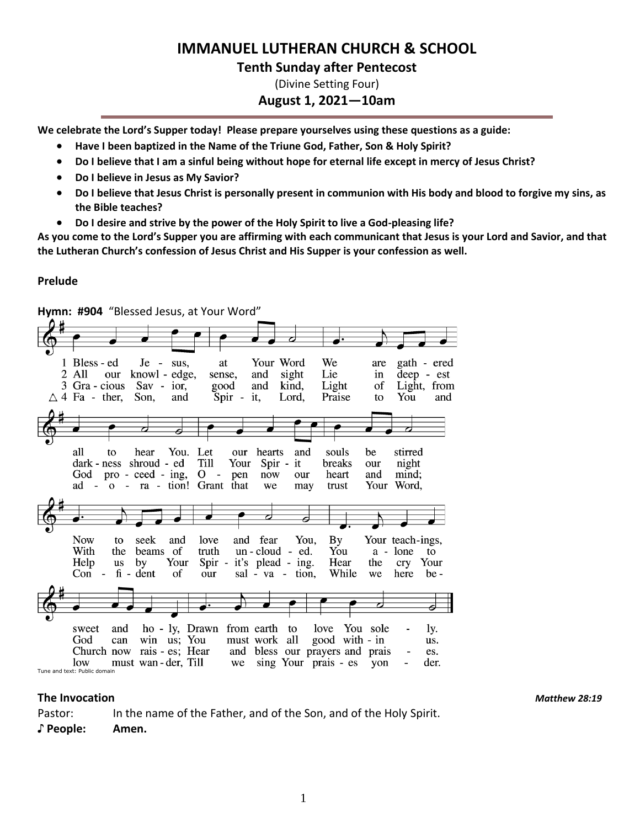# **IMMANUEL LUTHERAN CHURCH & SCHOOL**

#### **Tenth Sunday after Pentecost**

(Divine Setting Four)

#### **August 1, 2021—10am**

**We celebrate the Lord's Supper today! Please prepare yourselves using these questions as a guide:**

- **Have I been baptized in the Name of the Triune God, Father, Son & Holy Spirit?**
- **Do I believe that I am a sinful being without hope for eternal life except in mercy of Jesus Christ?**
- **Do I believe in Jesus as My Savior?**
- **Do I believe that Jesus Christ is personally present in communion with His body and blood to forgive my sins, as the Bible teaches?**
- **Do I desire and strive by the power of the Holy Spirit to live a God-pleasing life?**

**As you come to the Lord's Supper you are affirming with each communicant that Jesus is your Lord and Savior, and that the Lutheran Church's confession of Jesus Christ and His Supper is your confession as well.**

#### **Prelude**



Pastor: In the name of the Father, and of the Son, and of the Holy Spirit.

**♪ People: Amen.**

**The Invocation** *Matthew 28:19*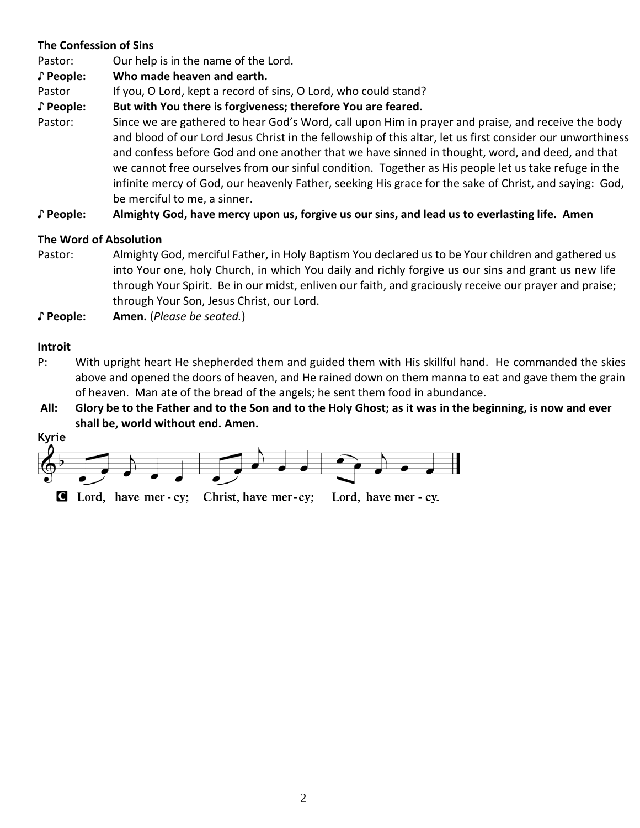### **The Confession of Sins**

Pastor: Our help is in the name of the Lord.

**♪ People: Who made heaven and earth.**

Pastor If you, O Lord, kept a record of sins, O Lord, who could stand?

**♪ People: But with You there is forgiveness; therefore You are feared.**

Pastor: Since we are gathered to hear God's Word, call upon Him in prayer and praise, and receive the body and blood of our Lord Jesus Christ in the fellowship of this altar, let us first consider our unworthiness and confess before God and one another that we have sinned in thought, word, and deed, and that we cannot free ourselves from our sinful condition. Together as His people let us take refuge in the infinite mercy of God, our heavenly Father, seeking His grace for the sake of Christ, and saying: God, be merciful to me, a sinner.

**♪ People: Almighty God, have mercy upon us, forgive us our sins, and lead us to everlasting life. Amen**

# **The Word of Absolution**

- Pastor: Almighty God, merciful Father, in Holy Baptism You declared us to be Your children and gathered us into Your one, holy Church, in which You daily and richly forgive us our sins and grant us new life through Your Spirit. Be in our midst, enliven our faith, and graciously receive our prayer and praise; through Your Son, Jesus Christ, our Lord.
- **♪ People: Amen.** (*Please be seated.*)

# **Introit**

- P: With upright heart He shepherded them and guided them with His skillful hand. He commanded the skies above and opened the doors of heaven, and He rained down on them manna to eat and gave them the grain of heaven. Man ate of the bread of the angels; he sent them food in abundance.
- **All: Glory be to the Father and to the Son and to the Holy Ghost; as it was in the beginning, is now and ever shall be, world without end. Amen.**

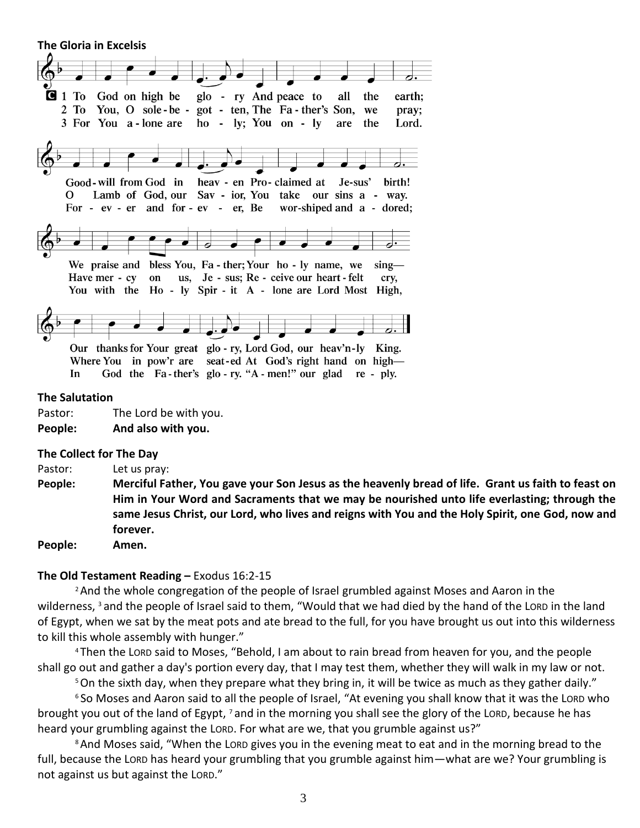**The Gloria in Excelsis** 



#### **The Salutation**

Pastor: The Lord be with you. **People: And also with you.**

#### **The Collect for The Day**

Pastor: Let us pray:

**People: Merciful Father, You gave your Son Jesus as the heavenly bread of life. Grant us faith to feast on Him in Your Word and Sacraments that we may be nourished unto life everlasting; through the same Jesus Christ, our Lord, who lives and reigns with You and the Holy Spirit, one God, now and forever.**

**People: Amen.**

#### **The Old Testament Reading –** Exodus 16:2-15

<sup>2</sup> And the whole congregation of the people of Israel grumbled against Moses and Aaron in the wilderness, <sup>3</sup> and the people of Israel said to them, "Would that we had died by the hand of the LORD in the land of Egypt, when we sat by the meat pots and ate bread to the full, for you have brought us out into this wilderness to kill this whole assembly with hunger."

<sup>4</sup> Then the LORD said to Moses, "Behold, I am about to rain bread from heaven for you, and the people shall go out and gather a day's portion every day, that I may test them, whether they will walk in my law or not.

<sup>5</sup>On the sixth day, when they prepare what they bring in, it will be twice as much as they gather daily."

<sup>6</sup> So Moses and Aaron said to all the people of Israel, "At evening you shall know that it was the LORD who brought you out of the land of Egypt, <sup>7</sup> and in the morning you shall see the glory of the LORD, because he has heard your grumbling against the LORD. For what are we, that you grumble against us?"

<sup>8</sup> And Moses said, "When the Lorp gives you in the evening meat to eat and in the morning bread to the full, because the LORD has heard your grumbling that you grumble against him—what are we? Your grumbling is not against us but against the LORD."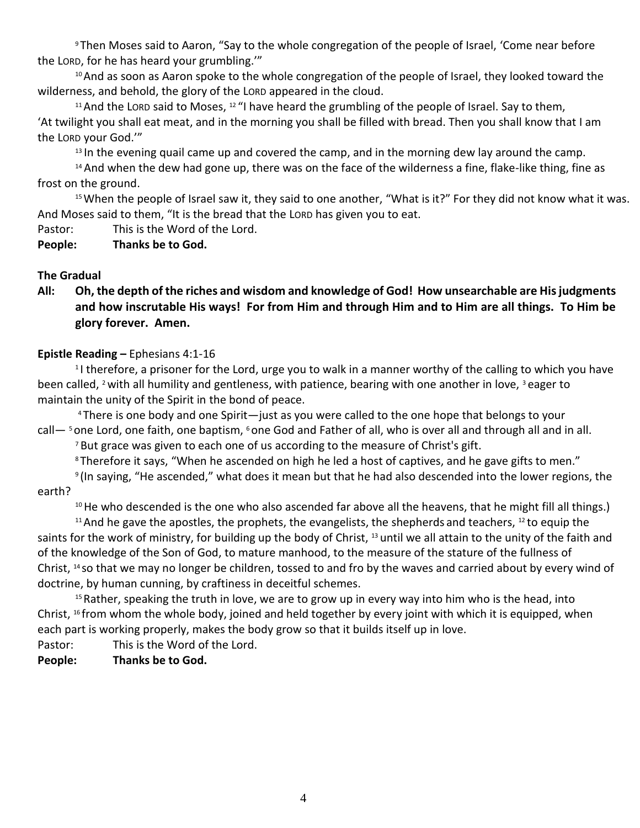<sup>9</sup> Then Moses said to Aaron, "Say to the whole congregation of the people of Israel, 'Come near before the LORD, for he has heard your grumbling.'"

<sup>10</sup> And as soon as Aaron spoke to the whole congregation of the people of Israel, they looked toward the wilderness, and behold, the glory of the LORD appeared in the cloud.

<sup>11</sup> And the LORD said to Moses,  $12$  "I have heard the grumbling of the people of Israel. Say to them, 'At twilight you shall eat meat, and in the morning you shall be filled with bread. Then you shall know that I am the LORD your God.'"

 $13$  In the evening quail came up and covered the camp, and in the morning dew lay around the camp.

<sup>14</sup> And when the dew had gone up, there was on the face of the wilderness a fine, flake-like thing, fine as frost on the ground.

<sup>15</sup> When the people of Israel saw it, they said to one another, "What is it?" For they did not know what it was. And Moses said to them, "It is the bread that the LORD has given you to eat.

Pastor: This is the Word of the Lord.

**People: Thanks be to God.**

# **The Gradual**

**All: Oh, the depth of the riches and wisdom and knowledge of God! How unsearchable are His judgments and how inscrutable His ways! For from Him and through Him and to Him are all things. To Him be glory forever. Amen.**

# **Epistle Reading –** Ephesians 4:1-16

<sup>1</sup>I therefore, a prisoner for the Lord, urge you to walk in a manner worthy of the calling to which you have been called, <sup>2</sup> with all humility and gentleness, with patience, bearing with one another in love, <sup>3</sup> eager to maintain the unity of the Spirit in the bond of peace.

<sup>4</sup> There is one body and one Spirit—just as you were called to the one hope that belongs to your call— <sup>5</sup> one Lord, one faith, one baptism, <sup>6</sup> one God and Father of all, who is over all and through all and in all.

 $7$  But grace was given to each one of us according to the measure of Christ's gift.

<sup>8</sup> Therefore it says, "When he ascended on high he led a host of captives, and he gave gifts to men."

9 (In saying, "He ascended," what does it mean but that he had also descended into the lower regions, the earth?

<sup>10</sup> He who descended is the one who also ascended far above all the heavens, that he might fill all things.)

 $11$  And he gave the apostles, the prophets, the evangelists, the shepherds and teachers,  $12$  to equip the saints for the work of ministry, for building up the body of Christ, <sup>13</sup> until we all attain to the unity of the faith and of the knowledge of the Son of God, to mature manhood, to the measure of the stature of the fullness of Christ, <sup>14</sup> so that we may no longer be children, tossed to and fro by the waves and carried about by every wind of doctrine, by human cunning, by craftiness in deceitful schemes.

<sup>15</sup> Rather, speaking the truth in love, we are to grow up in every way into him who is the head, into Christ, <sup>16</sup> from whom the whole body, joined and held together by every joint with which it is equipped, when each part is working properly, makes the body grow so that it builds itself up in love.

Pastor: This is the Word of the Lord.

### **People: Thanks be to God.**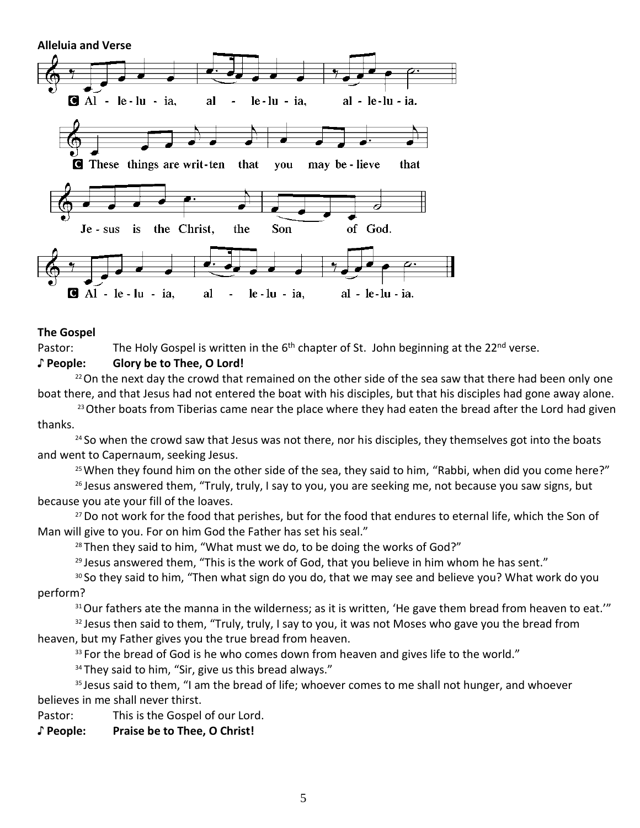

#### **The Gospel**

Pastor: The Holy Gospel is written in the 6<sup>th</sup> chapter of St. John beginning at the 22<sup>nd</sup> verse.

#### **♪ People: Glory be to Thee, O Lord!**

<sup>22</sup> On the next day the crowd that remained on the other side of the sea saw that there had been only one boat there, and that Jesus had not entered the boat with his disciples, but that his disciples had gone away alone.

 $23$  Other boats from Tiberias came near the place where they had eaten the bread after the Lord had given thanks.

<sup>24</sup> So when the crowd saw that Jesus was not there, nor his disciples, they themselves got into the boats and went to Capernaum, seeking Jesus.

<sup>25</sup> When they found him on the other side of the sea, they said to him, "Rabbi, when did you come here?"

 $26$  Jesus answered them, "Truly, truly, I say to you, you are seeking me, not because you saw signs, but because you ate your fill of the loaves.

<sup>27</sup> Do not work for the food that perishes, but for the food that endures to eternal life, which the Son of Man will give to you. For on him God the Father has set his seal."

 $28$  Then they said to him, "What must we do, to be doing the works of God?"

 $29$  Jesus answered them, "This is the work of God, that you believe in him whom he has sent."

<sup>30</sup> So they said to him, "Then what sign do you do, that we may see and believe you? What work do you perform?

<sup>31</sup> Our fathers ate the manna in the wilderness; as it is written, 'He gave them bread from heaven to eat.'"

 $32$  Jesus then said to them, "Truly, truly, I say to you, it was not Moses who gave you the bread from heaven, but my Father gives you the true bread from heaven.

<sup>33</sup> For the bread of God is he who comes down from heaven and gives life to the world."

<sup>34</sup> They said to him, "Sir, give us this bread always."

<sup>35</sup> Jesus said to them, "I am the bread of life; whoever comes to me shall not hunger, and whoever believes in me shall never thirst.

Pastor: This is the Gospel of our Lord.

**♪ People: Praise be to Thee, O Christ!**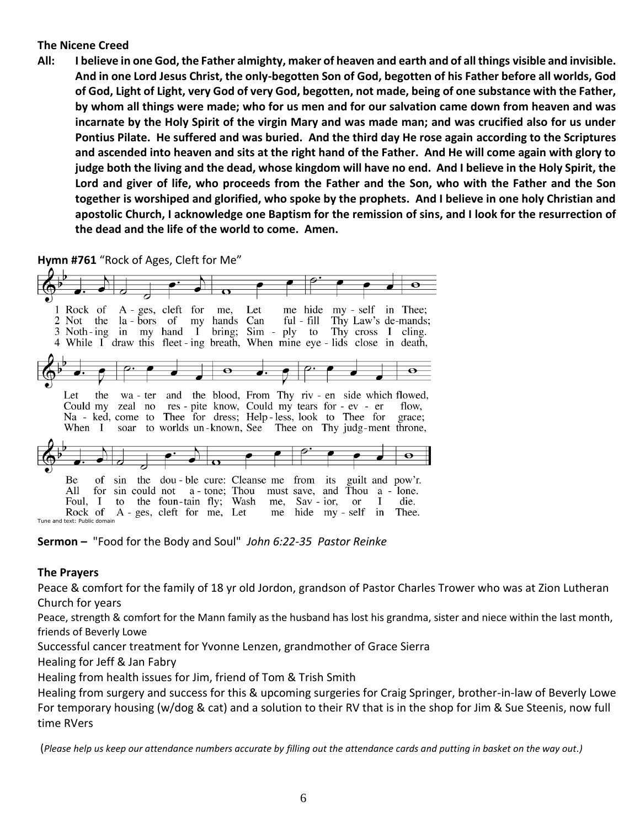#### **The Nicene Creed**

**All: I believe in one God, the Father almighty, maker of heaven and earth and of all things visible and invisible. And in one Lord Jesus Christ, the only-begotten Son of God, begotten of his Father before all worlds, God of God, Light of Light, very God of very God, begotten, not made, being of one substance with the Father, by whom all things were made; who for us men and for our salvation came down from heaven and was incarnate by the Holy Spirit of the virgin Mary and was made man; and was crucified also for us under Pontius Pilate. He suffered and was buried. And the third day He rose again according to the Scriptures and ascended into heaven and sits at the right hand of the Father. And He will come again with glory to judge both the living and the dead, whose kingdom will have no end. And I believe in the Holy Spirit, the Lord and giver of life, who proceeds from the Father and the Son, who with the Father and the Son together is worshiped and glorified, who spoke by the prophets. And I believe in one holy Christian and apostolic Church, I acknowledge one Baptism for the remission of sins, and I look for the resurrection of the dead and the life of the world to come. Amen.**

**Hymn #761** "Rock of Ages, Cleft for Me"

| $\mathbf o$                                                                       |                 |       |
|-----------------------------------------------------------------------------------|-----------------|-------|
|                                                                                   |                 |       |
| 1 Rock of A - ges, cleft for me, Let me hide my - self in Thee;                   |                 |       |
| 2 Not the la-bors of my hands Can ful-fill Thy Law's de-mands;                    |                 |       |
| 3 Noth-ing in my hand I bring; Sim - ply to Thy cross I cling.                    |                 |       |
| 4 While I draw this fleet ing breath, When mine eye - lids close in death,        |                 |       |
|                                                                                   |                 |       |
|                                                                                   |                 |       |
| $-\mathbf{\Theta}$                                                                |                 |       |
|                                                                                   |                 |       |
| Let the wa-ter and the blood, From Thy riv-en side which flowed,                  |                 |       |
| Could my zeal no res - pite know, Could my tears for - ev - er                    |                 | flow. |
| Na - ked, come to Thee for dress; Help-less, look to Thee for grace;              |                 |       |
| When I soar to worlds un-known, See Thee on Thy judg-ment throne,                 |                 |       |
|                                                                                   |                 |       |
|                                                                                   |                 |       |
|                                                                                   |                 |       |
|                                                                                   |                 |       |
| sin the dou-ble cure: Cleanse me from its guilt and pow'r.<br>Be<br><sub>of</sub> |                 |       |
| All                                                                               |                 |       |
| for sin could not a - tone; Thou must save, and Thou a - lone.                    |                 |       |
| Foul, I to the foun-tain fly; Wash me, Sav-ior, or I                              |                 | die.  |
| Rock of A - ges, cleft for me, Let me<br>Tune and text: Public domain             | hide my-self in | Thee. |
|                                                                                   |                 |       |

**Sermon –** "Food for the Body and Soul" *John 6:22-35 Pastor Reinke*

### **The Prayers**

Peace & comfort for the family of 18 yr old Jordon, grandson of Pastor Charles Trower who was at Zion Lutheran Church for years

Peace, strength & comfort for the Mann family as the husband has lost his grandma, sister and niece within the last month, friends of Beverly Lowe

Successful cancer treatment for Yvonne Lenzen, grandmother of Grace Sierra

Healing for Jeff & Jan Fabry

Healing from health issues for Jim, friend of Tom & Trish Smith

Healing from surgery and success for this & upcoming surgeries for Craig Springer, brother-in-law of Beverly Lowe For temporary housing (w/dog & cat) and a solution to their RV that is in the shop for Jim & Sue Steenis, now full time RVers

(*Please help us keep our attendance numbers accurate by filling out the attendance cards and putting in basket on the way out.)*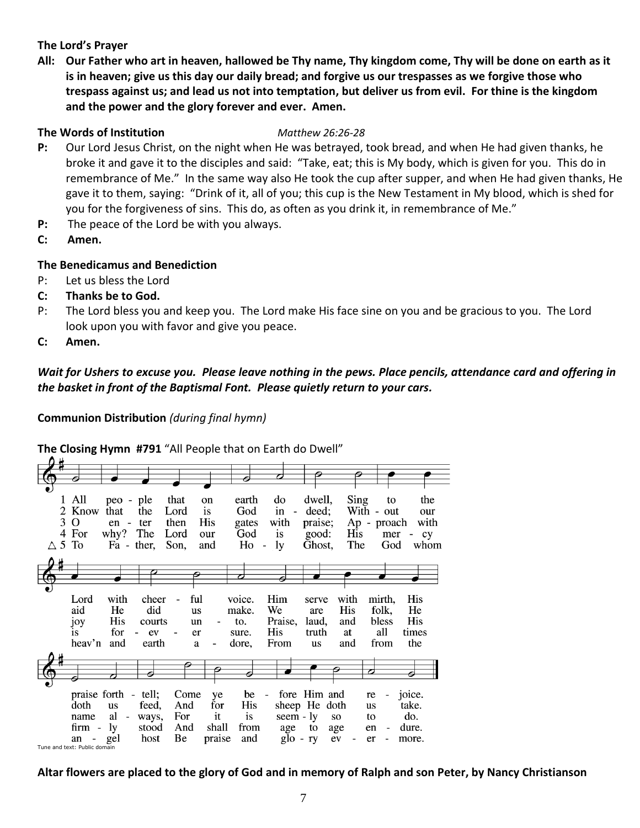#### **The Lord's Prayer**

**All: Our Father who art in heaven, hallowed be Thy name, Thy kingdom come, Thy will be done on earth as it is in heaven; give us this day our daily bread; and forgive us our trespasses as we forgive those who trespass against us; and lead us not into temptation, but deliver us from evil. For thine is the kingdom and the power and the glory forever and ever. Amen.**

#### **The Words of Institution** *Matthew 26:26-28*

- **P:** Our Lord Jesus Christ, on the night when He was betrayed, took bread, and when He had given thanks, he broke it and gave it to the disciples and said: "Take, eat; this is My body, which is given for you. This do in remembrance of Me." In the same way also He took the cup after supper, and when He had given thanks, He gave it to them, saying: "Drink of it, all of you; this cup is the New Testament in My blood, which is shed for you for the forgiveness of sins. This do, as often as you drink it, in remembrance of Me."
- **P:** The peace of the Lord be with you always.
- **C: Amen.**

#### **The Benedicamus and Benediction**

- P: Let us bless the Lord
- **C: Thanks be to God.**
- P: The Lord bless you and keep you. The Lord make His face sine on you and be gracious to you. The Lord look upon you with favor and give you peace.
- **C: Amen.**

### *Wait for Ushers to excuse you. Please leave nothing in the pews. Place pencils, attendance card and offering in the basket in front of the Baptismal Font. Please quietly return to your cars.*

**Communion Distribution** *(during final hymn)*



**The Closing Hymn #791** "All People that on Earth do Dwell"

**Altar flowers are placed to the glory of God and in memory of Ralph and son Peter, by Nancy Christianson**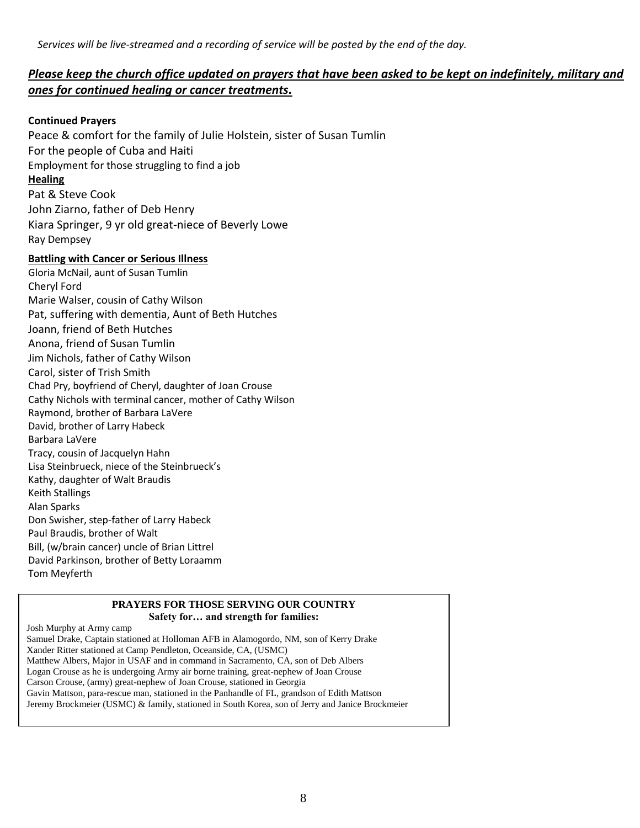### *Please keep the church office updated on prayers that have been asked to be kept on indefinitely, military and ones for continued healing or cancer treatments.*

#### **Continued Prayers**

Peace & comfort for the family of Julie Holstein, sister of Susan Tumlin For the people of Cuba and Haiti Employment for those struggling to find a job **Healing** Pat & Steve Cook John Ziarno, father of Deb Henry Kiara Springer, 9 yr old great-niece of Beverly Lowe Ray Dempsey **Battling with Cancer or Serious Illness** Gloria McNail, aunt of Susan Tumlin Cheryl Ford Marie Walser, cousin of Cathy Wilson Pat, suffering with dementia, Aunt of Beth Hutches Joann, friend of Beth Hutches Anona, friend of Susan Tumlin Jim Nichols, father of Cathy Wilson Carol, sister of Trish Smith Chad Pry, boyfriend of Cheryl, daughter of Joan Crouse Cathy Nichols with terminal cancer, mother of Cathy Wilson Raymond, brother of Barbara LaVere David, brother of Larry Habeck Barbara LaVere Tracy, cousin of Jacquelyn Hahn Lisa Steinbrueck, niece of the Steinbrueck's Kathy, daughter of Walt Braudis

Keith Stallings Alan Sparks Don Swisher, step-father of Larry Habeck Paul Braudis, brother of Walt Bill, (w/brain cancer) uncle of Brian Littrel David Parkinson, brother of Betty Loraamm Tom Meyferth

#### **PRAYERS FOR THOSE SERVING OUR COUNTRY Safety for… and strength for families:**

Josh Murphy at Army camp

Samuel Drake, Captain stationed at Holloman AFB in Alamogordo, NM, son of Kerry Drake Xander Ritter stationed at Camp Pendleton, Oceanside, CA, (USMC) Matthew Albers, Major in USAF and in command in Sacramento, CA, son of Deb Albers Logan Crouse as he is undergoing Army air borne training, great-nephew of Joan Crouse Carson Crouse, (army) great-nephew of Joan Crouse, stationed in Georgia Gavin Mattson, para-rescue man, stationed in the Panhandle of FL, grandson of Edith Mattson Jeremy Brockmeier (USMC) & family, stationed in South Korea, son of Jerry and Janice Brockmeier